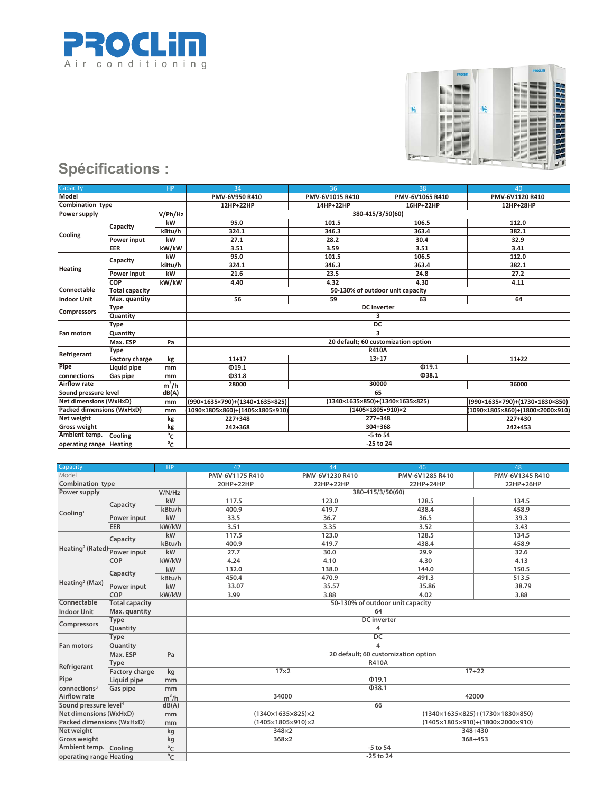



| Capacity                      |                       | <b>HP</b>    | 34                                  | 36                              | 38              | 40                              |  |
|-------------------------------|-----------------------|--------------|-------------------------------------|---------------------------------|-----------------|---------------------------------|--|
| Model                         |                       |              | PMV-6V950 R410                      | PMV-6V1015 R410                 | PMV-6V1065 R410 | PMV-6V1120 R410                 |  |
| <b>Combination type</b>       |                       |              | 12HP+22HP                           | 14HP+22HP                       | 16HP+22HP       | 12HP+28HP                       |  |
| Power supply                  |                       | V/Ph/Hz      |                                     | 380-415/3/50(60)                |                 |                                 |  |
|                               | Capacity              | kW           | 95.0                                | 101.5                           | 106.5           | 112.0                           |  |
| Cooling                       |                       | kBtu/h       | 324.1                               | 346.3                           | 363.4           | 382.1                           |  |
|                               | Power input           | kW           | 27.1                                | 28.2                            | 30.4            | 32.9                            |  |
|                               | <b>EER</b>            | kW/kW        | 3.51                                | 3.59                            | 3.51            | 3.41                            |  |
|                               |                       | kW           | 95.0                                | 101.5                           | 106.5           | 112.0                           |  |
|                               | Capacity              | kBtu/h       | 324.1                               | 346.3                           | 363.4           | 382.1                           |  |
| <b>Heating</b>                | Power input           | kW           | 21.6                                | 23.5                            | 24.8            | 27.2                            |  |
|                               | <b>COP</b>            | kW/kW        | 4.40                                | 4.32                            | 4.30            | 4.11                            |  |
| Connectable                   | <b>Total capacity</b> |              | 50-130% of outdoor unit capacity    |                                 |                 |                                 |  |
| <b>Indoor Unit</b>            | Max. quantity         |              | 56                                  | 59                              | 63              | 64                              |  |
|                               | <b>Type</b>           |              | <b>DC</b> inverter                  |                                 |                 |                                 |  |
| <b>Compressors</b>            | Quantity              |              | 3                                   |                                 |                 |                                 |  |
|                               | <b>Type</b>           |              | DC                                  |                                 |                 |                                 |  |
| <b>Fan motors</b>             | Quantity              |              | 3                                   |                                 |                 |                                 |  |
|                               | Max. ESP              | Pa           | 20 default; 60 customization option |                                 |                 |                                 |  |
|                               | <b>Type</b>           |              | <b>R410A</b>                        |                                 |                 |                                 |  |
| Refrigerant                   | <b>Factory charge</b> | kg           | $11+17$                             | $13 + 17$                       |                 | $11+22$                         |  |
| Pipe                          | Liquid pipe           | mm           | Φ19.1                               |                                 | @19.1           |                                 |  |
| connections                   | Gas pipe              | mm           | @31.8                               |                                 | Q38.1           |                                 |  |
| Airflow rate                  |                       | $m^3/h$      | 28000                               |                                 | 30000           | 36000                           |  |
| Sound pressure level          |                       | dB(A)        | 65                                  |                                 |                 |                                 |  |
| <b>Net dimensions (WxHxD)</b> |                       | mm           | (990×1635×790)+(1340×1635×825)      | (1340×1635×850)+(1340×1635×825) |                 | (990×1635×790)+(1730×1830×850)  |  |
| Packed dimensions (WxHxD)     |                       | mm           | (1090×1805×860)+(1405×1805×910)     | (1405×1805×910)×2               |                 | (1090×1805×860)+(1800×2000×910) |  |
| Net weight                    |                       | kg           | 227+348                             |                                 | $277 + 348$     | 227+430                         |  |
| <b>Gross weight</b>           |                       | kg           | 242+368                             |                                 | 304+368         | 242+453                         |  |
| Ambient temp.                 | Cooling               | $^{\circ}$ c |                                     |                                 | -5 to 54        |                                 |  |
| operating range   Heating     |                       | °c           | -25 to 24                           |                                 |                 |                                 |  |

| Capacity                                   |                       | HP             | 42                                  | 44                                 | 46                                                    | 48              |  |  |
|--------------------------------------------|-----------------------|----------------|-------------------------------------|------------------------------------|-------------------------------------------------------|-----------------|--|--|
| Model                                      |                       |                | PMV-6V1175 R410                     | PMV-6V1230 R410                    | PMV-6V1285 R410                                       | PMV-6V1345 R410 |  |  |
| Combination type                           |                       |                | 20HP+22HP                           | 22HP+22HP                          | 22HP+24HP                                             | 22HP+26HP       |  |  |
| Power supply                               |                       | V/N/Hz         |                                     | 380-415/3/50(60)                   |                                                       |                 |  |  |
| Cooling <sup>1</sup>                       | Capacity              | kW             | 117.5                               | 123.0                              | 128.5                                                 | 134.5           |  |  |
|                                            |                       | kBtu/h         | 400.9                               | 419.7                              | 438.4                                                 | 458.9           |  |  |
|                                            | Power input           | kW             | 33.5                                | 36.7                               | 36.5                                                  | 39.3            |  |  |
|                                            | EER                   | kW/kW          | 3.51                                | 3.35                               | 3.52                                                  | 3.43            |  |  |
|                                            | Capacity              | kW             | 117.5                               | 123.0                              | 128.5                                                 | 134.5           |  |  |
|                                            |                       | kBtu/h         | 400.9                               | 419.7                              | 438.4                                                 | 458.9           |  |  |
| Heating <sup>2</sup> (Rated) Power input   |                       | kW             | 27.7                                | 30.0                               | 29.9                                                  | 32.6            |  |  |
|                                            | COP                   | kW/kW          | 4.24                                | 4.10                               | 4.30                                                  | 4.13            |  |  |
|                                            |                       | kW             | 132.0                               | 138.0                              | 144.0                                                 | 150.5           |  |  |
|                                            | Capacity              | kBtu/h         | 450.4                               | 470.9                              | 491.3                                                 | 513.5           |  |  |
| Heating <sup>2</sup> (Max)                 | Power input           | kW             | 33.07                               | 35.57                              | 35.86                                                 | 38.79           |  |  |
|                                            | COP                   | kW/kW          | 3.99                                | 3.88                               | 4.02                                                  | 3.88            |  |  |
| Connectable                                | <b>Total capacity</b> |                |                                     | 50-130% of outdoor unit capacity   |                                                       |                 |  |  |
| <b>Indoor Unit</b>                         | Max. quantity         |                | 64                                  |                                    |                                                       |                 |  |  |
| Compressors                                | Type                  |                | <b>DC</b> inverter                  |                                    |                                                       |                 |  |  |
|                                            | Quantity              |                | 4                                   |                                    |                                                       |                 |  |  |
|                                            | Type                  |                | DC                                  |                                    |                                                       |                 |  |  |
| <b>Fan motors</b>                          | Quantity              |                | 4                                   |                                    |                                                       |                 |  |  |
|                                            | Max. ESP<br>Pa        |                | 20 default; 60 customization option |                                    |                                                       |                 |  |  |
| Refrigerant                                | Type                  |                | <b>R410A</b>                        |                                    |                                                       |                 |  |  |
|                                            | <b>Factory charge</b> | kg             | $17\times2$<br>$17 + 22$            |                                    |                                                       |                 |  |  |
| Pipe                                       | Liquid pipe           | mm             |                                     | @19.1                              |                                                       |                 |  |  |
| connections <sup>3</sup>                   | <b>Gas pipe</b>       | mm             |                                     | <b>038.1</b>                       |                                                       |                 |  |  |
| Airflow rate                               |                       | $m^3/h$        | 34000<br>42000                      |                                    |                                                       |                 |  |  |
| Sound pressure level <sup>4</sup><br>dB(A) |                       |                | 66                                  |                                    |                                                       |                 |  |  |
| Net dimensions (WxHxD)                     |                       | mm             |                                     | $(1340\times1635\times825)\times2$ | $(1340\times1635\times825)+(1730\times1830\times850)$ |                 |  |  |
| Packed dimensions (WxHxD)                  |                       | mm             |                                     | $(1405\times1805\times910)\times2$ | $(1405\times1805\times910)+(1800\times2000\times910)$ |                 |  |  |
| Net weight                                 |                       | kg             |                                     | $348\times2$                       |                                                       | 348+430         |  |  |
| <b>Gross weight</b>                        |                       | kg             |                                     | $368\times2$                       |                                                       | $368 + 453$     |  |  |
| Ambient temp. Cooling                      |                       | $\overline{C}$ |                                     |                                    | -5 to 54                                              |                 |  |  |
| °C<br>operating range Heating              |                       |                |                                     |                                    | $-25$ to $24$                                         |                 |  |  |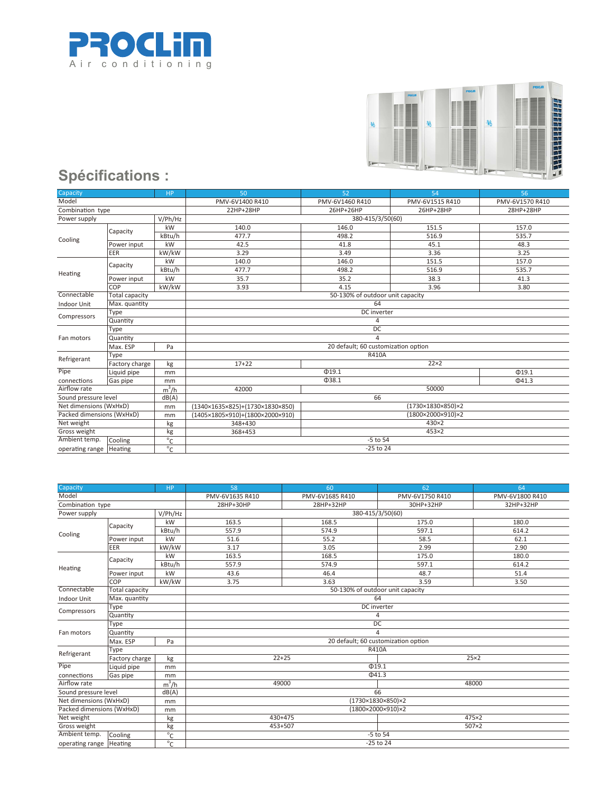



| Capacity<br><b>HP</b>     |                       |                 | 50                                                    | 52                | 54                | 56          |  |
|---------------------------|-----------------------|-----------------|-------------------------------------------------------|-------------------|-------------------|-------------|--|
| Model                     |                       | PMV-6V1400 R410 | PMV-6V1460 R410                                       | PMV-6V1515 R410   | PMV-6V1570 R410   |             |  |
| Combination type          |                       | 22HP+28HP       | 26HP+26HP                                             | 26HP+28HP         | 28HP+28HP         |             |  |
| Power supply              |                       | V/Ph/Hz         |                                                       | 380-415/3/50(60)  |                   |             |  |
| Cooling                   | Capacity              | kW              | 140.0                                                 | 146.0             | 151.5             | 157.0       |  |
|                           |                       | kBtu/h          | 477.7                                                 | 498.2             | 516.9             | 535.7       |  |
|                           | Power input           | kW              | 42.5                                                  | 41.8              | 45.1              | 48.3        |  |
|                           | EER                   | kW/kW           | 3.29                                                  | 3.49              | 3.36              | 3.25        |  |
|                           | Capacity              | kW              | 140.0                                                 | 146.0             | 151.5             | 157.0       |  |
| Heating                   |                       | kBtu/h          | 477.7                                                 | 498.2             | 516.9             | 535.7       |  |
|                           | Power input           | kW              | 35.7                                                  | 35.2              | 38.3              | 41.3        |  |
|                           | COP                   | kW/kW           | 3.93                                                  | 4.15              | 3.96              | 3.80        |  |
| Connectable               | <b>Total capacity</b> |                 | 50-130% of outdoor unit capacity                      |                   |                   |             |  |
| Indoor Unit               | Max. quantity         |                 | 64                                                    |                   |                   |             |  |
| Compressors               | Type                  |                 | DC inverter                                           |                   |                   |             |  |
|                           | Quantity              |                 | 4                                                     |                   |                   |             |  |
|                           | Type                  |                 | $\overline{DC}$                                       |                   |                   |             |  |
| Fan motors                | Quantity              |                 | 4<br>20 default; 60 customization option              |                   |                   |             |  |
|                           | Max. ESP              | Pa              |                                                       |                   |                   |             |  |
| Refrigerant               | Type                  |                 | R410A                                                 |                   |                   |             |  |
|                           | Factory charge        | kg              | $17+22$                                               | $22\times2$       |                   |             |  |
| Pipe                      | Liquid pipe           | mm              |                                                       | @19.1             |                   | $\Phi$ 19.1 |  |
| connections               | Gas pipe              | mm              |                                                       | Q38.1             |                   | $\Phi$ 41.3 |  |
| Airflow rate              |                       | $m^3/h$         | 50000<br>42000                                        |                   |                   |             |  |
| Sound pressure level      |                       | dB(A)           | 66                                                    |                   |                   |             |  |
| Net dimensions (WxHxD)    |                       | mm              | $(1340\times1635\times825)+(1730\times1830\times850)$ | (1730×1830×850)×2 |                   |             |  |
| Packed dimensions (WxHxD) |                       | mm              | (1405×1805×910)+(1800×2000×910)                       |                   | (1800×2000×910)×2 |             |  |
| Net weight                |                       | kg              | 348+430                                               | 430×2             |                   |             |  |
| Gross weight              |                       | kg              | 368+453                                               |                   | $453\times2$      |             |  |
| Ambient temp.             | Cooling               | $\overline{C}$  |                                                       | $-5$ to $54$      |                   |             |  |
| operating range   Heating |                       | $\overline{C}$  | -25 to 24                                             |                   |                   |             |  |

| Capacity                        |                                          | <b>HP</b>       | 58                                       | 60               | 62              | 64    |  |
|---------------------------------|------------------------------------------|-----------------|------------------------------------------|------------------|-----------------|-------|--|
| Model                           |                                          | PMV-6V1635 R410 | PMV-6V1685 R410                          | PMV-6V1750 R410  | PMV-6V1800 R410 |       |  |
| Combination type                |                                          | 28HP+30HP       | 28HP+32HP                                | 30HP+32HP        | 32HP+32HP       |       |  |
| Power supply                    |                                          | V/Ph/Hz         |                                          | 380-415/3/50(60) |                 |       |  |
| Cooling                         | Capacity                                 | kW              | 163.5                                    | 168.5            | 175.0           | 180.0 |  |
|                                 |                                          | kBtu/h          | 557.9                                    | 574.9            | 597.1           | 614.2 |  |
|                                 | Power input                              | kW              | 51.6                                     | 55.2             | 58.5            | 62.1  |  |
|                                 | <b>EER</b>                               | kW/kW           | 3.17                                     | 3.05             | 2.99            | 2.90  |  |
|                                 | Capacity                                 | kW              | 163.5                                    | 168.5            | 175.0           | 180.0 |  |
| Heating                         |                                          | kBtu/h          | 557.9                                    | 574.9            | 597.1           | 614.2 |  |
|                                 | Power input                              | kW              | 43.6                                     | 46.4             | 48.7            | 51.4  |  |
|                                 | COP                                      | kW/kW           | 3.75                                     | 3.63             | 3.59            | 3.50  |  |
| Connectable                     | <b>Total capacity</b>                    |                 | 50-130% of outdoor unit capacity         |                  |                 |       |  |
| <b>Indoor Unit</b>              | Max. quantity                            |                 |                                          |                  | 64              |       |  |
| Compressors                     | Type                                     |                 | DC inverter                              |                  |                 |       |  |
|                                 | Quantity                                 |                 | 4                                        |                  |                 |       |  |
|                                 | Type                                     |                 | DC                                       |                  |                 |       |  |
| Fan motors                      | Quantity                                 |                 | 4<br>20 default; 60 customization option |                  |                 |       |  |
|                                 | Max. ESP                                 | Pa              |                                          |                  |                 |       |  |
| Refrigerant                     | Type                                     |                 | <b>R410A</b>                             |                  |                 |       |  |
|                                 | Factory charge                           | kg              | $22+25$<br>$25\times2$                   |                  |                 |       |  |
| Pipe                            | Liquid pipe                              | mm              |                                          | @19.1            |                 |       |  |
| connections                     | Gas pipe                                 | mm              |                                          | $\Phi$ 41.3      |                 |       |  |
| Airflow rate                    |                                          | $m^3/h$         | 49000<br>48000                           |                  |                 |       |  |
| Sound pressure level            |                                          | dB(A)           | 66                                       |                  |                 |       |  |
| Net dimensions (WxHxD)<br>mm    |                                          |                 | (1730×1830×850)×2                        |                  |                 |       |  |
| Packed dimensions (WxHxD)<br>mm |                                          |                 | (1800×2000×910)×2                        |                  |                 |       |  |
| Net weight                      |                                          | kg              |                                          | $430 + 475$      |                 | 475×2 |  |
| Gross weight                    |                                          | kg              |                                          | 453+507          |                 | 507×2 |  |
| Ambient temp.                   | Cooling                                  | $\overline{C}$  |                                          |                  | $-5$ to $54$    |       |  |
| operating range                 | $^{\circ}$ C<br>$-25$ to $24$<br>Heating |                 |                                          |                  |                 |       |  |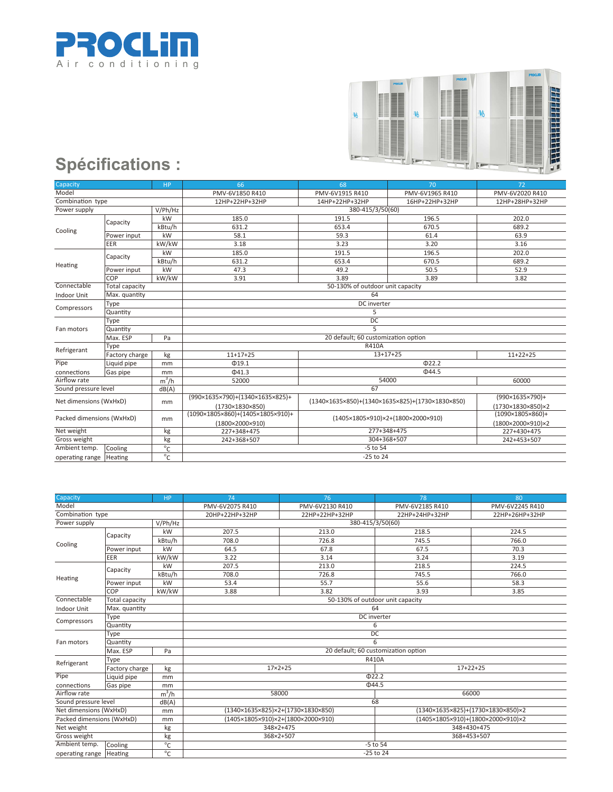



| Capacity                                  |                       | <b>HP</b>       | 66                                                     | 68                                                                                              | 70                 | 72                               |  |
|-------------------------------------------|-----------------------|-----------------|--------------------------------------------------------|-------------------------------------------------------------------------------------------------|--------------------|----------------------------------|--|
| Model                                     |                       | PMV-6V1850 R410 | PMV-6V1915 R410                                        | PMV-6V1965 R410                                                                                 | PMV-6V2020 R410    |                                  |  |
| Combination type                          |                       |                 | 12HP+22HP+32HP                                         | 14HP+22HP+32HP                                                                                  | 16HP+22HP+32HP     | 12HP+28HP+32HP                   |  |
| Power supply                              |                       | V/Ph/Hz         |                                                        | 380-415/3/50(60)                                                                                |                    |                                  |  |
| Cooling                                   | Capacity              | kW              | 185.0                                                  | 191.5                                                                                           | 196.5              | 202.0                            |  |
|                                           |                       | kBtu/h          | 631.2                                                  | 653.4                                                                                           | 670.5              | 689.2                            |  |
|                                           | Power input           | kW              | 58.1                                                   | 59.3                                                                                            | 61.4               | 63.9                             |  |
|                                           | EER                   | kW/kW           | 3.18                                                   | 3.23                                                                                            | 3.20               | 3.16                             |  |
|                                           | Capacity              | kW              | 185.0                                                  | 191.5                                                                                           | 196.5              | 202.0                            |  |
| Heating                                   |                       | kBtu/h          | 631.2                                                  | 653.4                                                                                           | 670.5              | 689.2                            |  |
|                                           | Power input           | kW              | 47.3                                                   | 49.2                                                                                            | 50.5               | 52.9                             |  |
|                                           | COP                   | kW/kW           | 3.91                                                   | 3.89                                                                                            | 3.89               | 3.82                             |  |
| Connectable                               | <b>Total capacity</b> |                 |                                                        | 50-130% of outdoor unit capacity                                                                |                    |                                  |  |
| Indoor Unit                               | Max. quantity         |                 |                                                        |                                                                                                 |                    |                                  |  |
| Compressors                               | Type                  |                 | DC inverter                                            |                                                                                                 |                    |                                  |  |
|                                           | Quantity              |                 | 5                                                      |                                                                                                 |                    |                                  |  |
|                                           | Type                  |                 | DC                                                     |                                                                                                 |                    |                                  |  |
| Fan motors                                | Quantity              |                 | 5                                                      |                                                                                                 |                    |                                  |  |
|                                           | Max. ESP              | Pa              | 20 default; 60 customization option                    |                                                                                                 |                    |                                  |  |
| Refrigerant                               | Type                  |                 | <b>R410A</b>                                           |                                                                                                 |                    |                                  |  |
|                                           | Factory charge<br>kg  |                 | $11+17+25$                                             | $13+17+25$                                                                                      |                    | $11+22+25$                       |  |
| Pipe                                      | Liquid pipe           | mm              | $\Phi$ 19.1                                            |                                                                                                 | $\overline{O22.2}$ |                                  |  |
| connections                               | Gas pipe              | mm              | $\Phi$ 41.3                                            |                                                                                                 | Ф44.5              |                                  |  |
| Airflow rate                              |                       | $m^3/h$         | 52000                                                  |                                                                                                 | 54000              | 60000                            |  |
| Sound pressure level                      |                       | dB(A)           | 67                                                     |                                                                                                 |                    |                                  |  |
| Net dimensions (WxHxD)                    |                       |                 | (990×1635×790)+(1340×1635×825)+                        | $(1340 \times 1635 \times 850) + (1340 \times 1635 \times 825) + (1730 \times 1830 \times 850)$ |                    | $(990 \times 1635 \times 790) +$ |  |
|                                           |                       | mm              | (1730×1830×850)                                        |                                                                                                 |                    | (1730×1830×850)×2                |  |
| Packed dimensions (WxHxD)                 |                       |                 | $(1090\times1805\times860)+(1405\times1805\times910)+$ |                                                                                                 |                    | $(1090\times1805\times860)+$     |  |
|                                           |                       | mm              | (1800×2000×910)                                        | (1405×1805×910)×2+(1800×2000×910)                                                               |                    | (1800×2000×910)×2                |  |
| Net weight                                |                       | kg              | 227+348+475                                            |                                                                                                 | 277+348+475        | 227+430+475                      |  |
| Gross weight                              |                       | kg              | 242+368+507                                            | 304+368+507                                                                                     |                    | 242+453+507                      |  |
| Ambient temp.                             | Cooling               | $\overline{C}$  | $-5$ to $54$                                           |                                                                                                 |                    |                                  |  |
| $^{\circ}$ C<br>operating range   Heating |                       | -25 to 24       |                                                        |                                                                                                 |                    |                                  |  |

| Capacity                  |                       | <b>HP</b>       | 74                                  | 76                                | 78                                | 80                                |  |
|---------------------------|-----------------------|-----------------|-------------------------------------|-----------------------------------|-----------------------------------|-----------------------------------|--|
| Model                     |                       | PMV-6V2075 R410 | PMV-6V2130 R410                     | PMV-6V2185 R410                   | PMV-6V2245 R410                   |                                   |  |
| Combination type          |                       |                 | 20HP+22HP+32HP                      | 22HP+22HP+32HP                    | 22HP+24HP+32HP                    | 22HP+26HP+32HP                    |  |
| Power supply              |                       | V/Ph/Hz         |                                     | 380-415/3/50(60)                  |                                   |                                   |  |
| Cooling                   | Capacity              | kW              | 207.5                               | 213.0                             | 218.5                             | 224.5                             |  |
|                           |                       | kBtu/h          | 708.0                               | 726.8                             | 745.5                             | 766.0                             |  |
|                           | Power input           | kW              | 64.5                                | 67.8                              | 67.5                              | 70.3                              |  |
|                           | EER                   | kW/kW           | 3.22                                | 3.14                              | 3.24                              | 3.19                              |  |
|                           | Capacity              | kW              | 207.5                               | 213.0                             | 218.5                             | 224.5                             |  |
| Heating                   |                       | kBtu/h          | 708.0                               | 726.8                             | 745.5                             | 766.0                             |  |
|                           | Power input           | kW              | 53.4                                | 55.7                              | 55.6                              | 58.3                              |  |
|                           | COP                   | kW/kW           | 3.88                                | 3.82                              | 3.93                              | 3.85                              |  |
| Connectable               | <b>Total capacity</b> |                 | 50-130% of outdoor unit capacity    |                                   |                                   |                                   |  |
| <b>Indoor Unit</b>        | Max. quantity         |                 | 64                                  |                                   |                                   |                                   |  |
| Compressors               | Type                  |                 | DC inverter                         |                                   |                                   |                                   |  |
|                           | Quantity              |                 | 6                                   |                                   |                                   |                                   |  |
|                           | Type                  |                 | DC                                  |                                   |                                   |                                   |  |
| Fan motors                | Quantity              |                 | 6                                   |                                   |                                   |                                   |  |
|                           | Max. ESP              | Pa              | 20 default; 60 customization option |                                   |                                   |                                   |  |
| Refrigerant               | Type                  |                 |                                     |                                   | <b>R410A</b>                      |                                   |  |
|                           | Factory charge        | kg              | $17 \times 2 + 25$<br>$17+22+25$    |                                   |                                   |                                   |  |
| Pipe                      | Liquid pipe           | mm              |                                     | @22.2                             |                                   |                                   |  |
| connections               | Gas pipe              | mm              |                                     | $\Phi$ 44.5                       |                                   |                                   |  |
| Airflow rate              |                       | $m^3/h$         |                                     | 58000                             |                                   | 66000                             |  |
| Sound pressure level      |                       | dB(A)           | 68                                  |                                   |                                   |                                   |  |
| Net dimensions (WxHxD)    |                       | mm              |                                     | (1340×1635×825)×2+(1730×1830×850) |                                   | (1340×1635×825)+(1730×1830×850)×2 |  |
| Packed dimensions (WxHxD) |                       | mm              |                                     | (1405×1805×910)×2+(1800×2000×910) | (1405×1805×910)+(1800×2000×910)×2 |                                   |  |
| Net weight                |                       | kg              |                                     | 348×2+475                         |                                   | 348+430+475                       |  |
| Gross weight              |                       | kg              |                                     | 368×2+507                         |                                   | 368+453+507                       |  |
| Ambient temp.             | Cooling               | $\overline{C}$  | $-5$ to $54$                        |                                   |                                   |                                   |  |
| operating range   Heating |                       | $\overline{C}$  | -25 to 24                           |                                   |                                   |                                   |  |